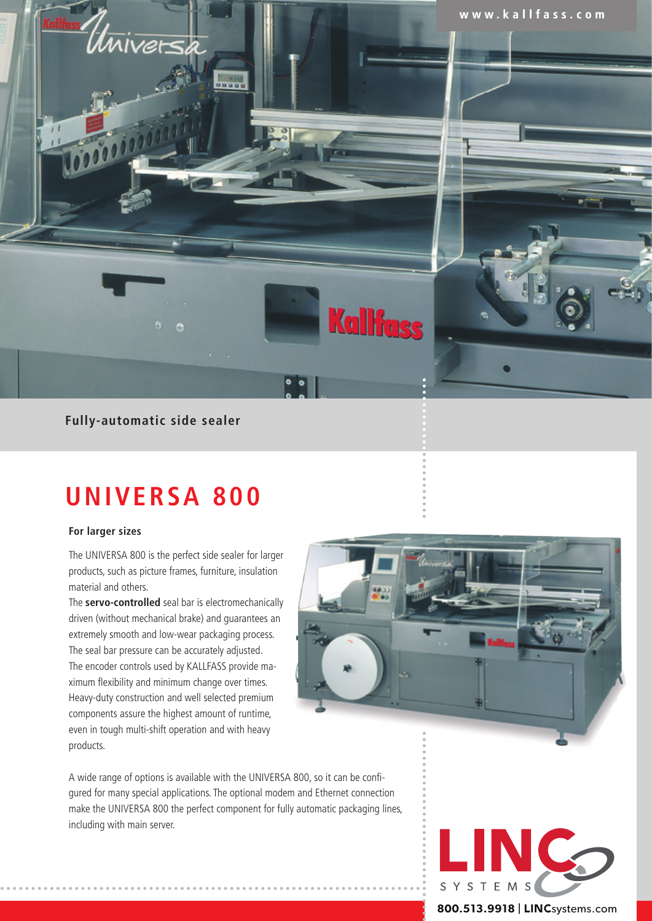

## **Fully-automatic side sealer**

# **UNIVERSA 800**

## **For larger sizes**

The UNIVERSA 800 is the perfect side sealer for larger products, such as picture frames, furniture, insulation material and others.

The **servo-controlled** seal bar is electromechanically driven (without mechanical brake) and guarantees an extremely smooth and low-wear packaging process. The seal bar pressure can be accurately adjusted. The encoder controls used by KALLFASS provide maximum flexibility and minimum change over times. Heavy-duty construction and well selected premium components assure the highest amount of runtime, even in tough multi-shift operation and with heavy products.



A wide range of options is available with the UNIVERSA 800, so it can be configured for many special applications. The optional modem and Ethernet connection make the UNIVERSA 800 the perfect component for fully automatic packaging lines, including with main server.



**800.513.9918** | LINCsystems.com